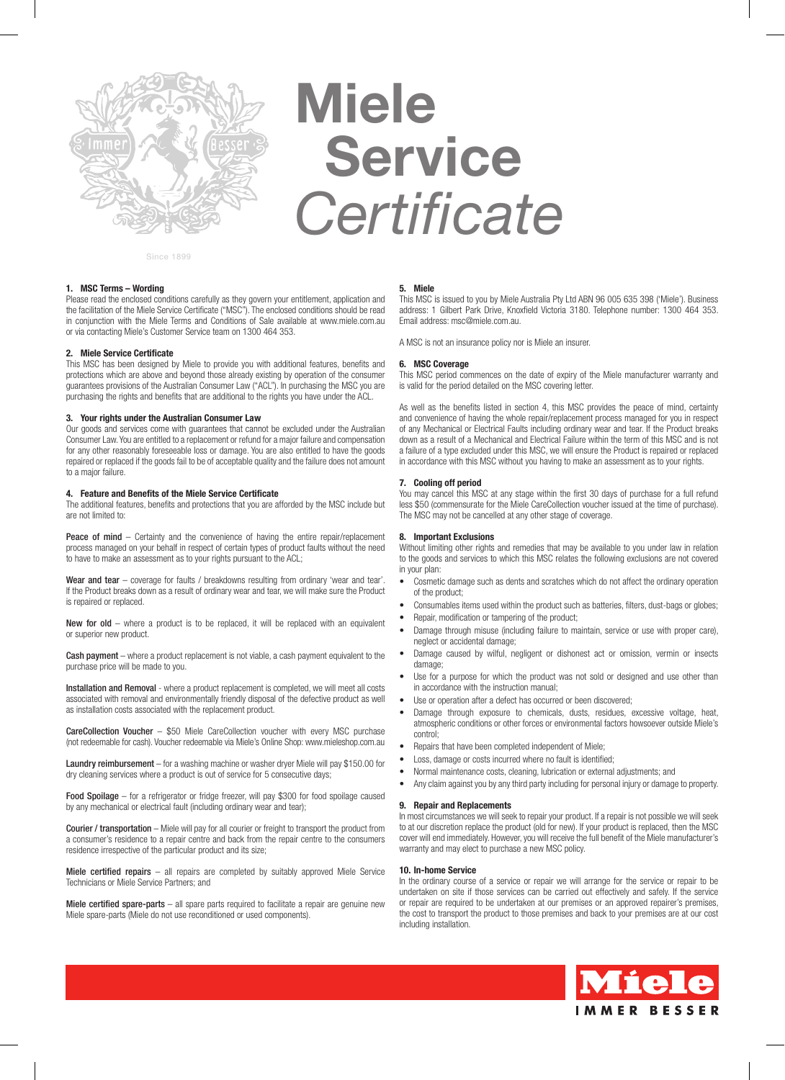

# **Miele Service**  *Certificate*

Since 1899

## **1. MSC Terms – Wording**

Please read the enclosed conditions carefully as they govern your entitlement, application and the facilitation of the Miele Service Certificate ("MSC"). The enclosed conditions should be read in conjunction with the Miele Terms and Conditions of Sale available at www.miele.com.au or via contacting Miele's Customer Service team on 1300 464 353.

## **2. Miele Service Certificate**

This MSC has been designed by Miele to provide you with additional features, benefits and protections which are above and beyond those already existing by operation of the consumer guarantees provisions of the Australian Consumer Law ("ACL"). In purchasing the MSC you are purchasing the rights and benefits that are additional to the rights you have under the ACL.

## **3. Your rights under the Australian Consumer Law**

Our goods and services come with guarantees that cannot be excluded under the Australian Consumer Law. You are entitled to a replacement or refund for a major failure and compensation for any other reasonably foreseeable loss or damage. You are also entitled to have the goods repaired or replaced if the goods fail to be of acceptable quality and the failure does not amount to a major failure.

## **4. Feature and Benefits of the Miele Service Certificate**

The additional features, benefits and protections that you are afforded by the MSC include but are not limited to:

Peace of mind – Certainty and the convenience of having the entire repair/replacement process managed on your behalf in respect of certain types of product faults without the need to have to make an assessment as to your rights pursuant to the ACL;

Wear and tear – coverage for faults / breakdowns resulting from ordinary 'wear and tear'. If the Product breaks down as a result of ordinary wear and tear, we will make sure the Product is repaired or replaced.

New for old – where a product is to be replaced, it will be replaced with an equivalent or superior new product.

Cash payment – where a product replacement is not viable, a cash payment equivalent to the purchase price will be made to you.

Installation and Removal - where a product replacement is completed, we will meet all costs associated with removal and environmentally friendly disposal of the defective product as well as installation costs associated with the replacement product.

CareCollection Voucher – \$50 Miele CareCollection voucher with every MSC purchase (not redeemable for cash). Voucher redeemable via Miele's Online Shop: www.mieleshop.com.au

Laundry reimbursement – for a washing machine or washer dryer Miele will pay \$150.00 for dry cleaning services where a product is out of service for 5 consecutive days;

Food Spoilage – for a refrigerator or fridge freezer, will pay \$300 for food spoilage caused by any mechanical or electrical fault (including ordinary wear and tear);

Courier / transportation – Miele will pay for all courier or freight to transport the product from a consumer's residence to a repair centre and back from the repair centre to the consumers residence irrespective of the particular product and its size;

Miele certified repairs – all repairs are completed by suitably approved Miele Service Technicians or Miele Service Partners; and

Miele certified spare-parts – all spare parts required to facilitate a repair are genuine new Miele spare-parts (Miele do not use reconditioned or used components).

#### **5. Miele**

This MSC is issued to you by Miele Australia Pty Ltd ABN 96 005 635 398 ('Miele'). Business address: 1 Gilbert Park Drive, Knoxfield Victoria 3180. Telephone number: 1300 464 353. Email address: msc@miele.com.au.

A MSC is not an insurance policy nor is Miele an insurer.

## **6. MSC Coverage**

This MSC period commences on the date of expiry of the Miele manufacturer warranty and is valid for the period detailed on the MSC covering letter.

As well as the benefits listed in section 4, this MSC provides the peace of mind, certainty and convenience of having the whole repair/replacement process managed for you in respect of any Mechanical or Electrical Faults including ordinary wear and tear. If the Product breaks down as a result of a Mechanical and Electrical Failure within the term of this MSC and is not a failure of a type excluded under this MSC, we will ensure the Product is repaired or replaced in accordance with this MSC without you having to make an assessment as to your rights.

## **7. Cooling off period**

You may cancel this MSC at any stage within the first 30 days of purchase for a full refund less \$50 (commensurate for the Miele CareCollection voucher issued at the time of purchase). The MSC may not be cancelled at any other stage of coverage.

## **8. Important Exclusions**

Without limiting other rights and remedies that may be available to you under law in relation to the goods and services to which this MSC relates the following exclusions are not covered in your plan:

- Cosmetic damage such as dents and scratches which do not affect the ordinary operation of the product;
- Consumables items used within the product such as batteries, filters, dust-bags or globes;
- Repair, modification or tampering of the product;
- Damage through misuse (including failure to maintain, service or use with proper care), neglect or accidental damage;
- Damage caused by wilful, negligent or dishonest act or omission, vermin or insects damage;
- Use for a purpose for which the product was not sold or designed and use other than in accordance with the instruction manual;
- Use or operation after a defect has occurred or been discovered:
- Damage through exposure to chemicals, dusts, residues, excessive voltage, heat, atmospheric conditions or other forces or environmental factors howsoever outside Miele's control;
- Repairs that have been completed independent of Miele;
- Loss, damage or costs incurred where no fault is identified:
- Normal maintenance costs, cleaning, lubrication or external adjustments; and
- Any claim against you by any third party including for personal injury or damage to property.

## **9. Repair and Replacements**

In most circumstances we will seek to repair your product. If a repair is not possible we will seek to at our discretion replace the product (old for new). If your product is replaced, then the MSC cover will end immediately. However, you will receive the full benefit of the Miele manufacturer's warranty and may elect to purchase a new MSC policy.

## **10. In-home Service**

In the ordinary course of a service or repair we will arrange for the service or repair to be undertaken on site if those services can be carried out effectively and safely. If the service or repair are required to be undertaken at our premises or an approved repairer's premises, the cost to transport the product to those premises and back to your premises are at our cost including installation.